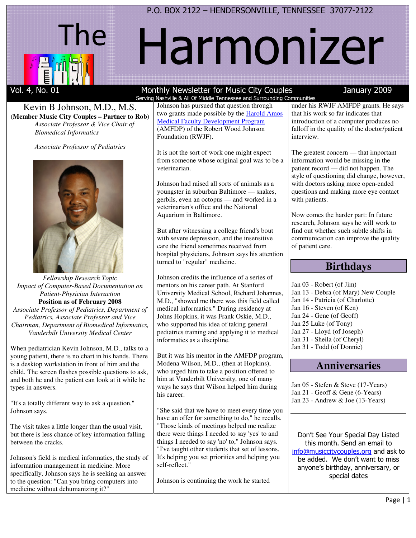

# Harmonizer

#### Kevin B Johnson, M.D., M.S. (**Member Music City Couples – Partner to Rob**) *Associate Professor & Vice Chair of Biomedical Informatics*

*Associate Professor of Pediatrics* 



*Fellowship Research Topic Impact of Computer-Based Documentation on Patient-Physician Interaction*  **Position as of February 2008**  *Associate Professor of Pediatrics, Department of Pediatrics, Associate Professor and Vice Chairman, Department of Biomedical Informatics, Vanderbilt University Medical Center* 

When pediatrician Kevin Johnson, M.D., talks to a young patient, there is no chart in his hands. There is a desktop workstation in front of him and the child. The screen flashes possible questions to ask, and both he and the patient can look at it while he types in answers.

"It's a totally different way to ask a question," Johnson says.

The visit takes a little longer than the usual visit, but there is less chance of key information falling between the cracks.

Johnson's field is medical informatics, the study of information management in medicine. More specifically, Johnson says he is seeking an answer to the question: "Can you bring computers into medicine without dehumanizing it?"

#### Vol. 4, No. 01 Monthly Newsletter for Music City Couples January 2009 Serving Nashville & All Of Middle Tennessee and Surrounding Communities

Johnson has pursued that question through two grants made possible by the Harold Amos Medical Faculty Development Program (AMFDP) of the Robert Wood Johnson Foundation (RWJF).

It is not the sort of work one might expect from someone whose original goal was to be a veterinarian.

Johnson had raised all sorts of animals as a youngster in suburban Baltimore — snakes, gerbils, even an octopus — and worked in a veterinarian's office and the National Aquarium in Baltimore.

But after witnessing a college friend's bout with severe depression, and the insensitive care the friend sometimes received from hospital physicians, Johnson says his attention turned to "regular" medicine.

Johnson credits the influence of a series of mentors on his career path. At Stanford University Medical School, Richard Johannes, M.D., "showed me there was this field called medical informatics." During residency at Johns Hopkins, it was Frank Oskie, M.D., who supported his idea of taking general pediatrics training and applying it to medical informatics as a discipline.

But it was his mentor in the AMFDP program, Modena Wilson, M.D., (then at Hopkins), who urged him to take a position offered to him at Vanderbilt University, one of many ways he says that Wilson helped him during his career.

"She said that we have to meet every time you have an offer for something to do," he recalls. "Those kinds of meetings helped me realize there were things I needed to say 'yes' to and things I needed to say 'no' to," Johnson says. "I've taught other students that set of lessons. It's helping you set priorities and helping you self-reflect."

Johnson is continuing the work he started

under his RWJF AMFDP grants. He says that his work so far indicates that introduction of a computer produces no falloff in the quality of the doctor/patient interview.

The greatest concern — that important information would be missing in the patient record — did not happen. The style of questioning did change, however, with doctors asking more open-ended questions and making more eye contact with patients.

Now comes the harder part: In future research, Johnson says he will work to find out whether such subtle shifts in communication can improve the quality of patient care.

# **Birthdays**

- Jan 03 Robert (of Jim)
- Jan 13 Debra (of Mary) New Couple
- Jan 14 Patricia (of Charlotte)
- Jan 16 Steven (of Ken)
- Jan 24 Gene (of Geoff)
- Jan 25 Luke (of Tony)
- Jan 27 Lloyd (of Joseph)
- Jan 31 Sheila (of Cheryl) Jan 31 - Todd (of Donnie)
- 

# **Anniversaries**

Jan 05 - Stefen & Steve (17-Years) Jan 21 - Geoff & Gene (6-Years) Jan 23 - Andrew & Joe (13-Years)

Don't See Your Special Day Listed this month. Send an email to info@musiccitycouples.org and ask to be added. We don't want to miss anyone's birthday, anniversary, or special dates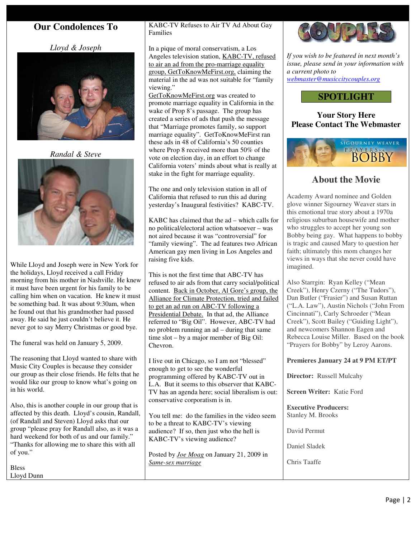# **Our Condolences To**

*Lloyd & Joseph* 



*Randal & Steve* 



While Lloyd and Joseph were in New York for the holidays, Lloyd received a call Friday morning from his mother in Nashville. He knew it must have been urgent for his family to be calling him when on vacation. He knew it must be something bad. It was about 9:30am, when he found out that his grandmother had passed away. He said he just couldn't believe it. He never got to say Merry Christmas or good bye.

The funeral was held on January 5, 2009.

The reasoning that Lloyd wanted to share with Music City Couples is because they consider our group as their close friends. He felts that he would like our group to know what's going on in his world.

Also, this is another couple in our group that is affected by this death. Lloyd's cousin, Randall, (of Randall and Steven) Lloyd asks that our group "please pray for Randall also, as it was a hard weekend for both of us and our family." "Thanks for allowing me to share this with all of you."

Bless Lloyd Dunn KABC-TV Refuses to Air TV Ad About Gay Families

In a pique of moral conservatism, a Los Angeles television station, KABC-TV, refused to air an ad from the pro-marriage equality group, GetToKnowMeFirst.org, claiming the material in the ad was not suitable for "family viewing."

GetToKnowMeFirst.org was created to promote marriage equality in California in the wake of Prop 8's passage. The group has created a series of ads that push the message that "Marriage promotes family, so support marriage equality". GetToKnowMeFirst ran these ads in 48 of California's 50 counties where Prop 8 received more than 50% of the vote on election day, in an effort to change California voters' minds about what is really at stake in the fight for marriage equality.

The one and only television station in all of California that refused to run this ad during yesterday's Inaugural festivities? KABC-TV.

KABC has claimed that the ad – which calls for no political/electoral action whatsoever – was not aired because it was "controversial" for "family viewing". The ad features two African American gay men living in Los Angeles and raising five kids.

This is not the first time that ABC-TV has refused to air ads from that carry social/political content. Back in October, Al Gore's group, the Alliance for Climate Protection, tried and failed to get an ad run on ABC-TV following a Presidential Debate. In that ad, the Alliance referred to "Big Oil". However, ABC-TV had no problem running an ad – during that same time slot – by a major member of Big Oil: Chevron.

I live out in Chicago, so I am not "blessed" enough to get to see the wonderful programming offered by KABC-TV out in L.A. But it seems to this observer that KABC-TV has an agenda here; social liberalism is out: conservative corporatism is in.

You tell me: do the families in the video seem to be a threat to KABC-TV's viewing audience? If so, then just who the hell is KABC-TV's viewing audience?

Posted by *Joe Moag* on January 21, 2009 in *Same-sex marriage*



*If you wish to be featured in next month's issue, please send in your information with a current photo to webmaster@musiccitycouples.org*

# **SPOTLIGHT**

# **Your Story Here Please Contact The Webmaster**



# **About the Movie**

Academy Award nominee and Golden glove winner Sigourney Weaver stars in this emotional true story about a 1970a religious suburban housewife and mother who struggles to accept her young son Bobby being gay. What happens to bobby is tragic and caused Mary to question her faith; ultimately this mom changes her views in ways that she never could have imagined.

Also Starrgin: Ryan Kelley ("Mean Creek"), Henry Czerny ("The Tudors"), Dan Butler ("Frasier") and Susan Ruttan ("L.A. Law"), Austin Nichols ("John From Cincinnati"), Carly Schroeder ("Mean Creek"), Scott Bailey ("Guiding Light"), and newcomers Shannon Eagen and Rebecca Louise Miller. Based on the book "Prayers for Bobby" by Leroy Aarons.

## **Premieres January 24 at 9 PM ET/PT**

**Director:** Russell Mulcahy

**Screen Writer:** Katie Ford

**Executive Producers:**  Stanley M. Brooks

David Permut

Daniel Sladek

Chris Taaffe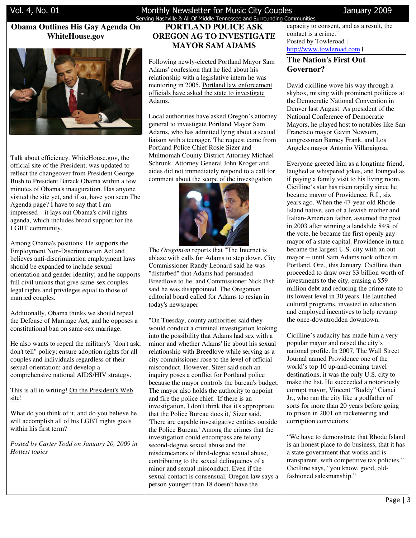# **Obama Outlines His Gay Agenda On WhiteHouse.gov**



Talk about efficiency. WhiteHouse.gov, the official site of the President, was updated to reflect the changeover from President George Bush to President Barack Obama within a few minutes of Obama's inauguration. Has anyone visited the site yet, and if so, have you seen The Agenda page? I have to say that I am impressed—it lays out Obama's civil rights agenda, which includes broad support for the LGBT community.

Among Obama's positions: He supports the Employment Non-Discrimination Act and believes anti-discrimination employment laws should be expanded to include sexual orientation and gender identity; and he supports full civil unions that give same-sex couples legal rights and privileges equal to those of married couples.

Additionally, Obama thinks we should repeal the Defense of Marriage Act, and he opposes a constitutional ban on same-sex marriage.

He also wants to repeal the military's "don't ask, don't tell" policy; ensure adoption rights for all couples and individuals regardless of their sexual orientation; and develop a comprehensive national AIDS/HIV strategy.

This is all in writing! On the President's Web site!

What do you think of it, and do you believe he will accomplish all of his LGBT rights goals within his first term?

*Posted by Carter Todd on January 20, 2009 in Hottest topics*

#### Vol. 4, No. 01 Monthly Newsletter for Music City Couples January 2009 Serving Nashville & All Of Middle Tennessee and Surrounding Communities

# **PORTLAND POLICE ASK OREGON AG TO INVESTIGATE MAYOR SAM ADAMS**

Following newly-elected Portland Mayor Sam Adams' confession that he lied about his relationship with a legislative intern he was mentoring in 2005, Portland law enforcement officials have asked the state to investigate Adams.

Local authorities have asked Oregon's attorney general to investigate Portland Mayor Sam Adams, who has admitted lying about a sexual liaison with a teenager. The request came from Portland Police Chief Rosie Sizer and Multnomah County District Attorney Michael Schrunk. Attorney General John Kroger and aides did not immediately respond to a call for comment about the scope of the investigation



The *Oregonian* reports that "The Internet is ablaze with calls for Adams to step down. City Commissioner Randy Leonard said he was "disturbed" that Adams had persuaded Breedlove to lie, and Commissioner Nick Fish said he was disappointed. The Oregonian editorial board called for Adams to resign in today's newspaper

"On Tuesday, county authorities said they would conduct a criminal investigation looking into the possibility that Adams had sex with a minor and whether Adams' lie about his sexual relationship with Breedlove while serving as a city commissioner rose to the level of official misconduct. However, Sizer said such an inquiry poses a conflict for Portland police because the mayor controls the bureau's budget. The mayor also holds the authority to appoint and fire the police chief. 'If there is an investigation, I don't think that it's appropriate that the Police Bureau does it,' Sizer said. 'There are capable investigative entities outside the Police Bureau.' Among the crimes that the investigation could encompass are felony second-degree sexual abuse and the misdemeanors of third-degree sexual abuse, contributing to the sexual delinquency of a minor and sexual misconduct. Even if the sexual contact is consensual, Oregon law says a person younger than 18 doesn't have the

capacity to consent, and as a result, the contact is a crime." Posted by Towleroad | http://www.towleroad.com |

## **The Nation's First Out Governor?**

David cicilline wove his way through a skybox, mixing with prominent politicos at the Democratic National Convention in Denver last August. As president of the National Conference of Democratic Mayors, he played host to notables like San Francisco mayor Gavin Newsom, congressman Barney Frank, and Los Angeles mayor Antonio Villaraigosa.

Everyone greeted him as a longtime friend, laughed at whispered jokes, and lounged as if paying a family visit to his living room. Cicilline's star has risen rapidly since he became mayor of Providence, R.I., six years ago. When the 47-year-old Rhode Island native, son of a Jewish mother and Italian-American father, assumed the post in 2003 after winning a landslide 84% of the vote, he became the first openly gay mayor of a state capital. Providence in turn became the largest U.S. city with an out mayor -- until Sam Adams took office in Portland, Ore., this January. Cicilline then proceeded to draw over \$3 billion worth of investments to the city, erasing a \$59 million debt and reducing the crime rate to its lowest level in 30 years. He launched cultural programs, invested in education, and employed incentives to help revamp the once-downtrodden downtown.

Cicilline's audacity has made him a very popular mayor and raised the city's national profile. In 2007, The Wall Street Journal named Providence one of the world's top 10 up-and-coming travel destinations; it was the only U.S. city to make the list. He succeeded a notoriously corrupt mayor, Vincent "Buddy" Cianci Jr., who ran the city like a godfather of sorts for more than 20 years before going to prison in 2001 on racketeering and corruption convictions.

"We have to demonstrate that Rhode Island is an honest place to do business, that it has a state government that works and is transparent, with competitive tax policies," Cicilline says, "you know, good, oldfashioned salesmanship."